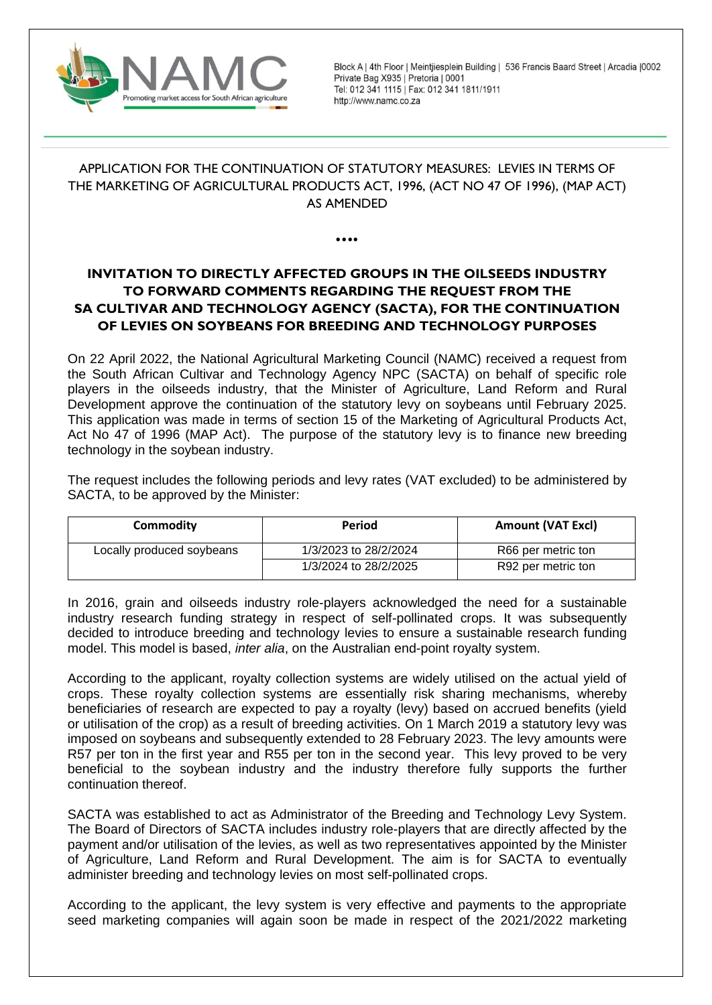

Block A | 4th Floor | Meintjiesplein Building | 536 Francis Baard Street | Arcadia | 0002 Private Bag X935 | Pretoria | 0001 Tel: 012 341 1115 | Fax: 012 341 1811/1911 http://www.namc.co.za

# APPLICATION FOR THE CONTINUATION OF STATUTORY MEASURES: LEVIES IN TERMS OF THE MARKETING OF AGRICULTURAL PRODUCTS ACT, 1996, (ACT NO 47 OF 1996), (MAP ACT) AS AMENDED

⦁⦁⦁⦁

# **INVITATION TO DIRECTLY AFFECTED GROUPS IN THE OILSEEDS INDUSTRY TO FORWARD COMMENTS REGARDING THE REQUEST FROM THE SA CULTIVAR AND TECHNOLOGY AGENCY (SACTA), FOR THE CONTINUATION OF LEVIES ON SOYBEANS FOR BREEDING AND TECHNOLOGY PURPOSES**

On 22 April 2022, the National Agricultural Marketing Council (NAMC) received a request from the South African Cultivar and Technology Agency NPC (SACTA) on behalf of specific role players in the oilseeds industry, that the Minister of Agriculture, Land Reform and Rural Development approve the continuation of the statutory levy on soybeans until February 2025. This application was made in terms of section 15 of the Marketing of Agricultural Products Act, Act No 47 of 1996 (MAP Act). The purpose of the statutory levy is to finance new breeding technology in the soybean industry.

The request includes the following periods and levy rates (VAT excluded) to be administered by SACTA, to be approved by the Minister:

| Commodity                 | Period                | <b>Amount (VAT Excl)</b> |  |
|---------------------------|-----------------------|--------------------------|--|
| Locally produced soybeans | 1/3/2023 to 28/2/2024 | R66 per metric ton       |  |
|                           | 1/3/2024 to 28/2/2025 | R92 per metric ton       |  |

In 2016, grain and oilseeds industry role-players acknowledged the need for a sustainable industry research funding strategy in respect of self-pollinated crops. It was subsequently decided to introduce breeding and technology levies to ensure a sustainable research funding model. This model is based, *inter alia*, on the Australian end-point royalty system.

According to the applicant, royalty collection systems are widely utilised on the actual yield of crops. These royalty collection systems are essentially risk sharing mechanisms, whereby beneficiaries of research are expected to pay a royalty (levy) based on accrued benefits (yield or utilisation of the crop) as a result of breeding activities. On 1 March 2019 a statutory levy was imposed on soybeans and subsequently extended to 28 February 2023. The levy amounts were R57 per ton in the first year and R55 per ton in the second year. This levy proved to be very beneficial to the soybean industry and the industry therefore fully supports the further continuation thereof.

SACTA was established to act as Administrator of the Breeding and Technology Levy System. The Board of Directors of SACTA includes industry role-players that are directly affected by the payment and/or utilisation of the levies, as well as two representatives appointed by the Minister of Agriculture, Land Reform and Rural Development. The aim is for SACTA to eventually administer breeding and technology levies on most self-pollinated crops.

According to the applicant, the levy system is very effective and payments to the appropriate seed marketing companies will again soon be made in respect of the 2021/2022 marketing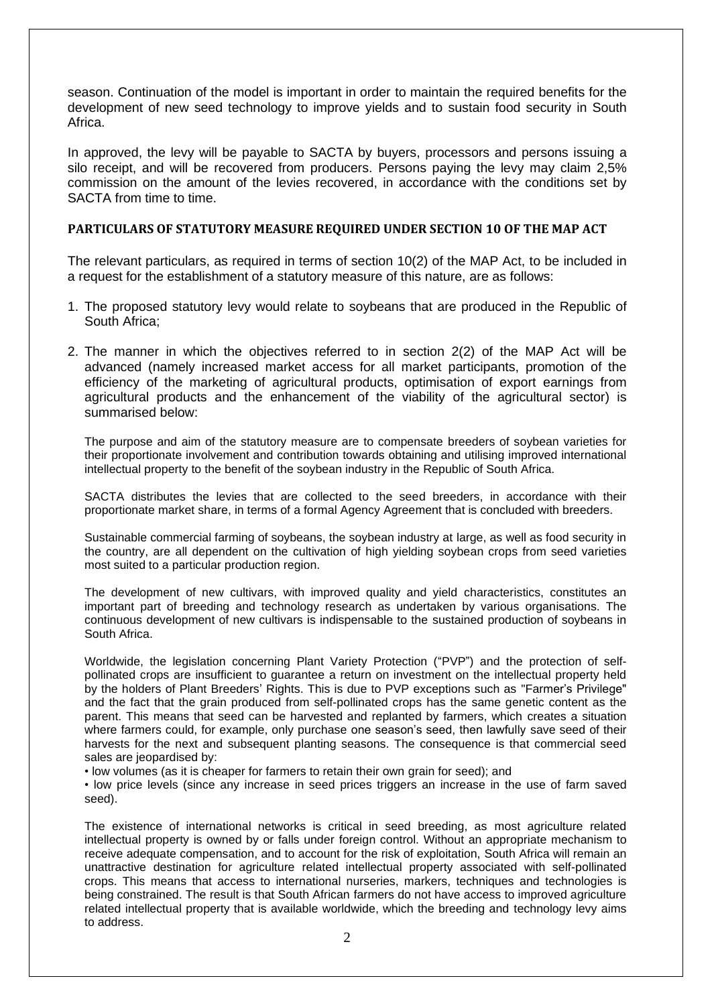season. Continuation of the model is important in order to maintain the required benefits for the development of new seed technology to improve yields and to sustain food security in South Africa.

In approved, the levy will be payable to SACTA by buyers, processors and persons issuing a silo receipt, and will be recovered from producers. Persons paying the levy may claim 2,5% commission on the amount of the levies recovered, in accordance with the conditions set by SACTA from time to time.

### **PARTICULARS OF STATUTORY MEASURE REQUIRED UNDER SECTION 10 OF THE MAP ACT**

The relevant particulars, as required in terms of section 10(2) of the MAP Act, to be included in a request for the establishment of a statutory measure of this nature, are as follows:

- 1. The proposed statutory levy would relate to soybeans that are produced in the Republic of South Africa;
- 2. The manner in which the objectives referred to in section 2(2) of the MAP Act will be advanced (namely increased market access for all market participants, promotion of the efficiency of the marketing of agricultural products, optimisation of export earnings from agricultural products and the enhancement of the viability of the agricultural sector) is summarised below:

The purpose and aim of the statutory measure are to compensate breeders of soybean varieties for their proportionate involvement and contribution towards obtaining and utilising improved international intellectual property to the benefit of the soybean industry in the Republic of South Africa.

SACTA distributes the levies that are collected to the seed breeders, in accordance with their proportionate market share, in terms of a formal Agency Agreement that is concluded with breeders.

Sustainable commercial farming of soybeans, the soybean industry at large, as well as food security in the country, are all dependent on the cultivation of high yielding soybean crops from seed varieties most suited to a particular production region.

The development of new cultivars, with improved quality and yield characteristics, constitutes an important part of breeding and technology research as undertaken by various organisations. The continuous development of new cultivars is indispensable to the sustained production of soybeans in South Africa.

Worldwide, the legislation concerning Plant Variety Protection ("PVP") and the protection of selfpollinated crops are insufficient to guarantee a return on investment on the intellectual property held by the holders of Plant Breeders' Rights. This is due to PVP exceptions such as "Farmer's Privilege" and the fact that the grain produced from self-pollinated crops has the same genetic content as the parent. This means that seed can be harvested and replanted by farmers, which creates a situation where farmers could, for example, only purchase one season's seed, then lawfully save seed of their harvests for the next and subsequent planting seasons. The consequence is that commercial seed sales are jeopardised by:

• low volumes (as it is cheaper for farmers to retain their own grain for seed); and

• low price levels (since any increase in seed prices triggers an increase in the use of farm saved seed).

The existence of international networks is critical in seed breeding, as most agriculture related intellectual property is owned by or falls under foreign control. Without an appropriate mechanism to receive adequate compensation, and to account for the risk of exploitation, South Africa will remain an unattractive destination for agriculture related intellectual property associated with self-pollinated crops. This means that access to international nurseries, markers, techniques and technologies is being constrained. The result is that South African farmers do not have access to improved agriculture related intellectual property that is available worldwide, which the breeding and technology levy aims to address.